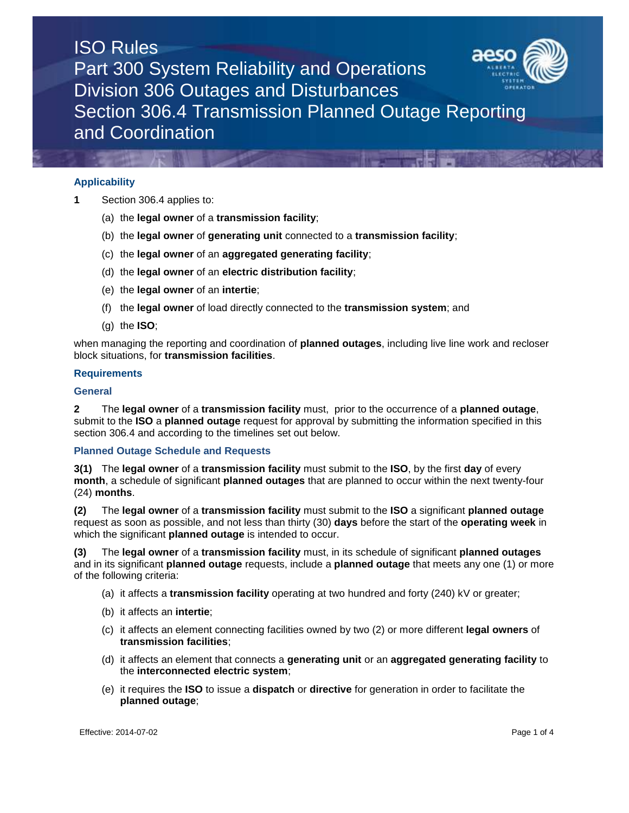

# **Applicability**

- **1** Section 306.4 applies to:
	- (a) the **legal owner** of a **transmission facility**;
	- (b) the **legal owner** of **generating unit** connected to a **transmission facility**;
	- (c) the **legal owner** of an **aggregated generating facility**;
	- (d) the **legal owner** of an **electric distribution facility**;
	- (e) the **legal owner** of an **intertie**;
	- (f) the **legal owner** of load directly connected to the **transmission system**; and
	- (g) the **ISO**;

when managing the reporting and coordination of **planned outages**, including live line work and recloser block situations, for **transmission facilities**.

#### **Requirements**

#### **General**

**2** The **legal owner** of a **transmission facility** must, prior to the occurrence of a **planned outage**, submit to the **ISO** a **planned outage** request for approval by submitting the information specified in this section 306.4 and according to the timelines set out below.

### **Planned Outage Schedule and Requests**

**3(1)** The **legal owner** of a **transmission facility** must submit to the **ISO**, by the first **day** of every **month**, a schedule of significant **planned outages** that are planned to occur within the next twenty-four (24) **months**.

**(2)** The **legal owner** of a **transmission facility** must submit to the **ISO** a significant **planned outage** request as soon as possible, and not less than thirty (30) **days** before the start of the **operating week** in which the significant **planned outage** is intended to occur.

**(3)** The **legal owner** of a **transmission facility** must, in its schedule of significant **planned outages** and in its significant **planned outage** requests, include a **planned outage** that meets any one (1) or more of the following criteria:

- (a) it affects a **transmission facility** operating at two hundred and forty (240) kV or greater;
- (b) it affects an **intertie**;
- (c) it affects an element connecting facilities owned by two (2) or more different **legal owners** of **transmission facilities**;
- (d) it affects an element that connects a **generating unit** or an **aggregated generating facility** to the **interconnected electric system**;
- (e) it requires the **ISO** to issue a **dispatch** or **directive** for generation in order to facilitate the **planned outage**;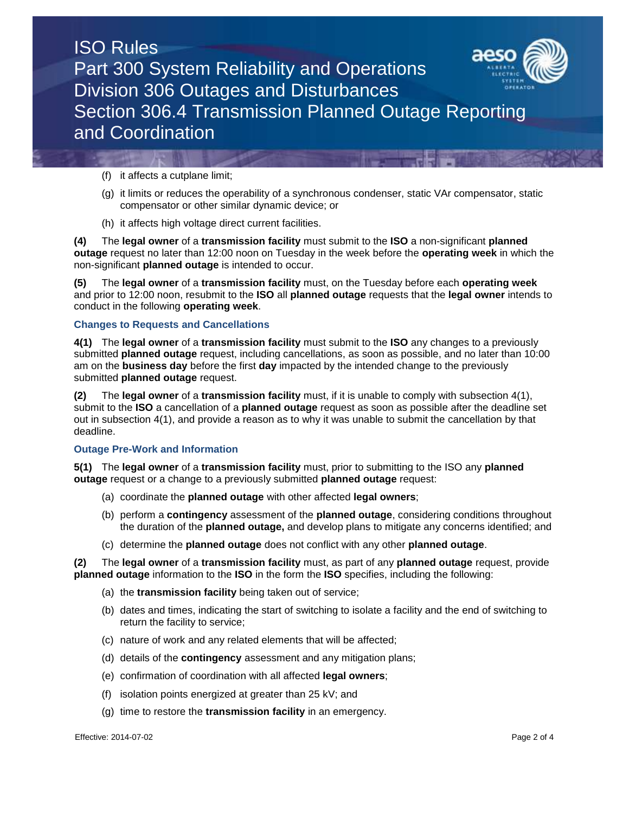

(f) it affects a cutplane limit;

- (g) it limits or reduces the operability of a synchronous condenser, static VAr compensator, static compensator or other similar dynamic device; or
- (h) it affects high voltage direct current facilities.

**(4)** The **legal owner** of a **transmission facility** must submit to the **ISO** a non-significant **planned outage** request no later than 12:00 noon on Tuesday in the week before the **operating week** in which the non-significant **planned outage** is intended to occur.

**(5)** The **legal owner** of a **transmission facility** must, on the Tuesday before each **operating week** and prior to 12:00 noon, resubmit to the **ISO** all **planned outage** requests that the **legal owner** intends to conduct in the following **operating week**.

# **Changes to Requests and Cancellations**

**4(1)** The **legal owner** of a **transmission facility** must submit to the **ISO** any changes to a previously submitted **planned outage** request, including cancellations, as soon as possible, and no later than 10:00 am on the **business day** before the first **day** impacted by the intended change to the previously submitted **planned outage** request.

**(2)** The **legal owner** of a **transmission facility** must, if it is unable to comply with subsection 4(1), submit to the **ISO** a cancellation of a **planned outage** request as soon as possible after the deadline set out in subsection 4(1), and provide a reason as to why it was unable to submit the cancellation by that deadline.

# **Outage Pre-Work and Information**

**5(1)** The **legal owner** of a **transmission facility** must, prior to submitting to the ISO any **planned outage** request or a change to a previously submitted **planned outage** request:

- (a) coordinate the **planned outage** with other affected **legal owners**;
- (b) perform a **contingency** assessment of the **planned outage**, considering conditions throughout the duration of the **planned outage,** and develop plans to mitigate any concerns identified; and
- (c) determine the **planned outage** does not conflict with any other **planned outage**.

**(2)** The **legal owner** of a **transmission facility** must, as part of any **planned outage** request, provide **planned outage** information to the **ISO** in the form the **ISO** specifies, including the following:

- (a) the **transmission facility** being taken out of service;
- (b) dates and times, indicating the start of switching to isolate a facility and the end of switching to return the facility to service;
- (c) nature of work and any related elements that will be affected;
- (d) details of the **contingency** assessment and any mitigation plans;
- (e) confirmation of coordination with all affected **legal owners**;
- (f) isolation points energized at greater than 25 kV; and
- (g) time to restore the **transmission facility** in an emergency.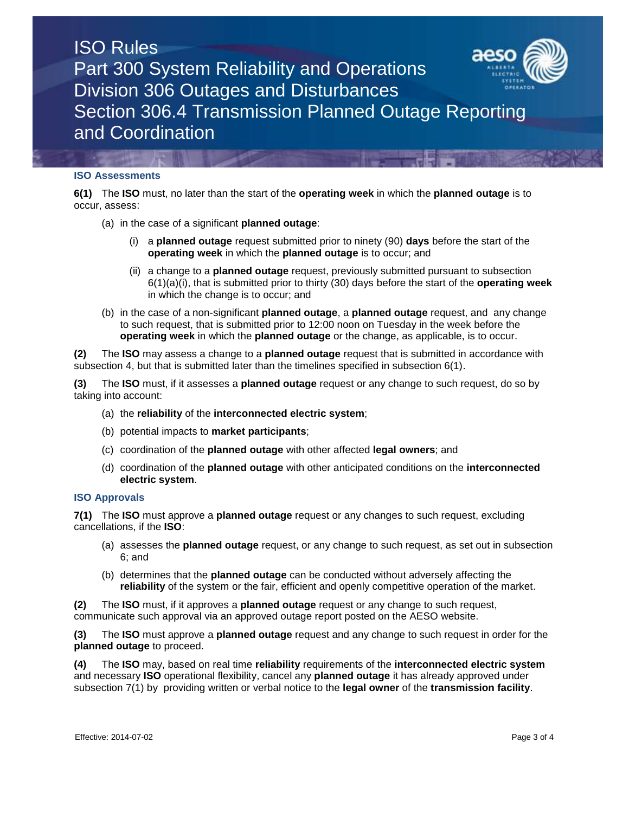

### **ISO Assessments**

**6(1)** The **ISO** must, no later than the start of the **operating week** in which the **planned outage** is to occur, assess:

- (a) in the case of a significant **planned outage**:
	- (i) a **planned outage** request submitted prior to ninety (90) **days** before the start of the **operating week** in which the **planned outage** is to occur; and
	- (ii) a change to a **planned outage** request, previously submitted pursuant to subsection 6(1)(a)(i), that is submitted prior to thirty (30) days before the start of the **operating week** in which the change is to occur; and
- (b) in the case of a non-significant **planned outage**, a **planned outage** request, and any change to such request, that is submitted prior to 12:00 noon on Tuesday in the week before the **operating week** in which the **planned outage** or the change, as applicable, is to occur.

**(2)** The **ISO** may assess a change to a **planned outage** request that is submitted in accordance with subsection 4, but that is submitted later than the timelines specified in subsection 6(1).

**(3)** The **ISO** must, if it assesses a **planned outage** request or any change to such request, do so by taking into account:

- (a) the **reliability** of the **interconnected electric system**;
- (b) potential impacts to **market participants**;
- (c) coordination of the **planned outage** with other affected **legal owners**; and
- (d) coordination of the **planned outage** with other anticipated conditions on the **interconnected electric system**.

### **ISO Approvals**

**7(1)** The **ISO** must approve a **planned outage** request or any changes to such request, excluding cancellations, if the **ISO**:

- (a) assesses the **planned outage** request, or any change to such request, as set out in subsection 6; and
- (b) determines that the **planned outage** can be conducted without adversely affecting the **reliability** of the system or the fair, efficient and openly competitive operation of the market.

**(2)** The **ISO** must, if it approves a **planned outage** request or any change to such request, communicate such approval via an approved outage report posted on the AESO website.

**(3)** The **ISO** must approve a **planned outage** request and any change to such request in order for the **planned outage** to proceed.

**(4)** The **ISO** may, based on real time **reliability** requirements of the **interconnected electric system**  and necessary **ISO** operational flexibility, cancel any **planned outage** it has already approved under subsection 7(1) by providing written or verbal notice to the **legal owner** of the **transmission facility**.